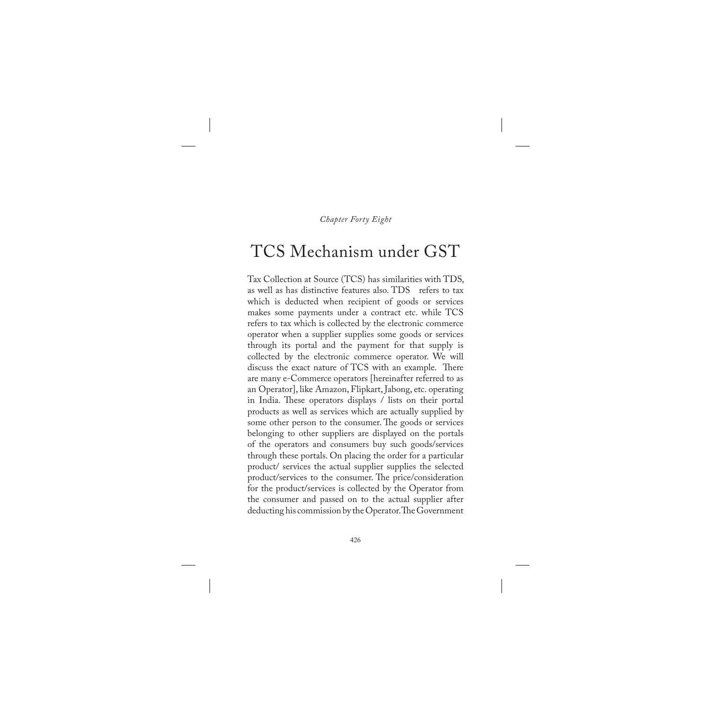*Chapter Forty Eight*

## TCS Mechanism under GST

Tax Collection at Source (TCS) has similarities with TDS, as well as has distinctive features also. TDS refers to tax which is deducted when recipient of goods or services makes some payments under a contract etc. while TCS refers to tax which is collected by the electronic commerce operator when a supplier supplies some goods or services through its portal and the payment for that supply is collected by the electronic commerce operator. We will discuss the exact nature of TCS with an example. There are many e-Commerce operators [hereinafter referred to as an Operator], like Amazon, Flipkart, Jabong, etc. operating in India. These operators displays / lists on their portal products as well as services which are actually supplied by some other person to the consumer. The goods or services belonging to other suppliers are displayed on the portals of the operators and consumers buy such goods/services through these portals. On placing the order for a particular product/ services the actual supplier supplies the selected product/services to the consumer. The price/consideration for the product/services is collected by the Operator from the consumer and passed on to the actual supplier after deducting his commission by the Operator. The Government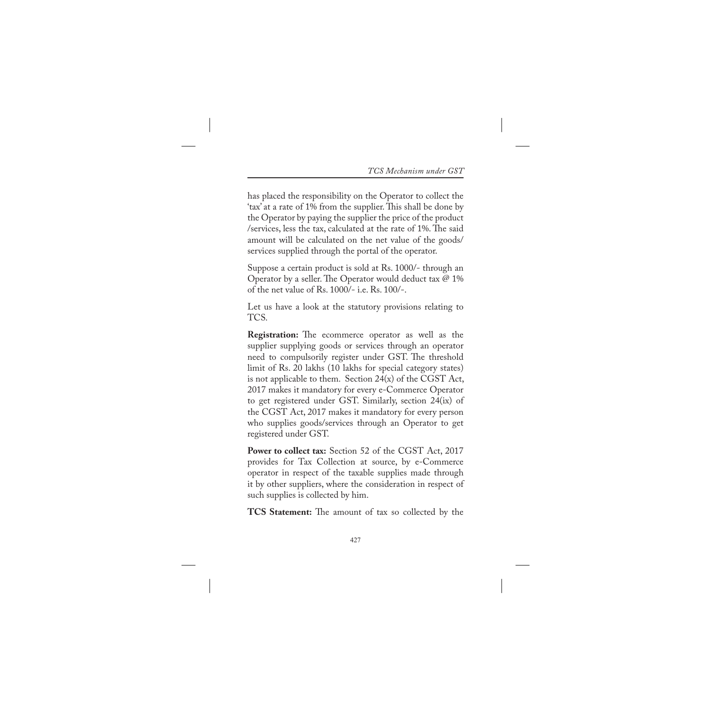has placed the responsibility on the Operator to collect the 'tax' at a rate of 1% from the supplier. This shall be done by the Operator by paying the supplier the price of the product /services, less the tax, calculated at the rate of 1%. The said amount will be calculated on the net value of the goods/ services supplied through the portal of the operator.

Suppose a certain product is sold at Rs. 1000/- through an Operator by a seller. The Operator would deduct tax @ 1% of the net value of Rs. 1000/- i.e. Rs. 100/-.

Let us have a look at the statutory provisions relating to TCS.

**Registration:** The ecommerce operator as well as the supplier supplying goods or services through an operator need to compulsorily register under GST. The threshold limit of Rs. 20 lakhs (10 lakhs for special category states) is not applicable to them. Section  $24(x)$  of the CGST Act, 2017 makes it mandatory for every e-Commerce Operator to get registered under GST. Similarly, section 24(ix) of the CGST Act, 2017 makes it mandatory for every person who supplies goods/services through an Operator to get registered under GST.

**Power to collect tax:** Section 52 of the CGST Act, 2017 provides for Tax Collection at source, by e-Commerce operator in respect of the taxable supplies made through it by other suppliers, where the consideration in respect of such supplies is collected by him.

**TCS Statement:** The amount of tax so collected by the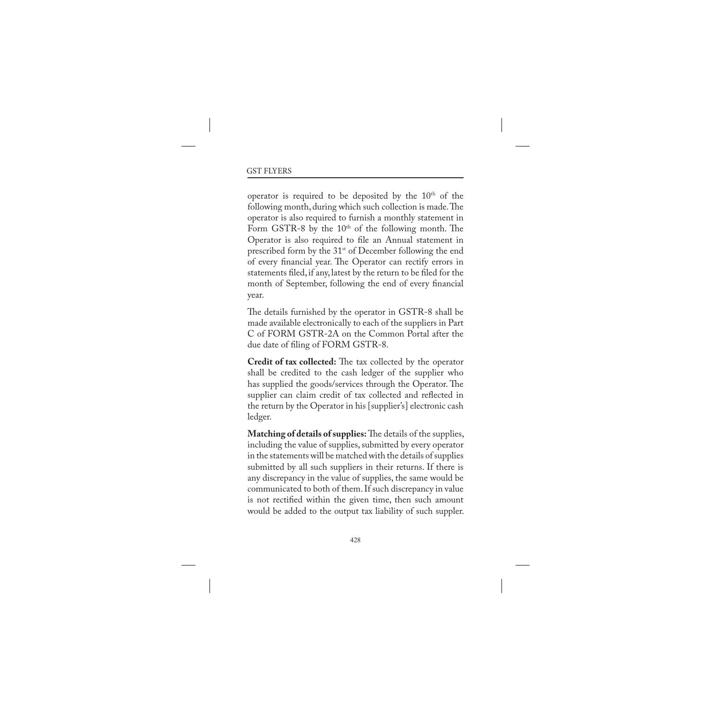operator is required to be deposited by the  $10<sup>th</sup>$  of the following month, during which such collection is made. The operator is also required to furnish a monthly statement in Form GSTR-8 by the  $10<sup>th</sup>$  of the following month. The Operator is also required to file an Annual statement in prescribed form by the 31<sup>st</sup> of December following the end of every financial year. The Operator can rectify errors in statements filed, if any, latest by the return to be filed for the month of September, following the end of every financial year.

The details furnished by the operator in GSTR-8 shall be made available electronically to each of the suppliers in Part C of FORM GSTR-2A on the Common Portal after the due date of filing of FORM GSTR-8.

**Credit of tax collected:** The tax collected by the operator shall be credited to the cash ledger of the supplier who has supplied the goods/services through the Operator. The supplier can claim credit of tax collected and reflected in the return by the Operator in his [supplier's] electronic cash ledger.

**Matching of details of supplies:** The details of the supplies, including the value of supplies, submitted by every operator in the statements will be matched with the details of supplies submitted by all such suppliers in their returns. If there is any discrepancy in the value of supplies, the same would be communicated to both of them. If such discrepancy in value is not rectified within the given time, then such amount would be added to the output tax liability of such suppler.